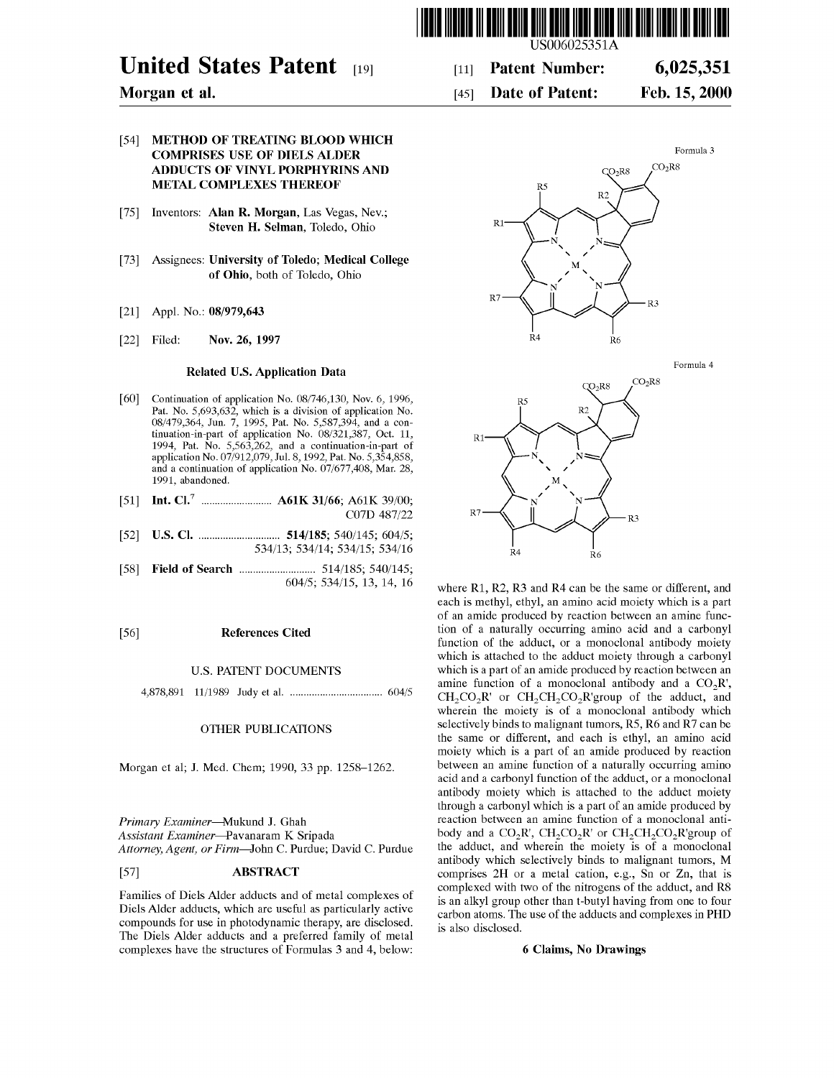

# **United States Patent** [19]

## **Morgan et al.**

### [54] **METHOD OF TREATING BLOOD WHICH COMPRISES USE OF DIELS ALDER ADDUCTS OF VINYL PORPHYRINS AND METAL COMPLEXES THEREOF**

- [75] Inventors: **Alan R. Morgan,** Las Vegas, Nev.; **Steven H. Selman,** Toledo, Ohio
- [73] Assignees: **University of Toledo; Medical College of Ohio,** both of Toledo, Ohio
- [21] Appl. No.: **08/979,643**
- [22] Filed: **Nov. 26, 1997**

#### **Related U.S. Application Data**

- [60] Continuation of application No. 08/746,130, Nov. 6, 1996, Pat. No. 5,693,632, which is a division of application No. 08/479,364, Jun. 7, 1995, Pat. No. 5,587,394, and a continuation-in-part of application No. 08/321,387, Oct. 11, 1994, Pat. No. 5,563,262, and a continuation-in-part of application No. 07/912,079, Jul. 8, 1992, Pat. No. 5,354,858, and a continuation of application No. 07/677,408, Mar. 28, 1991, abandoned.
- [51] **Int. Cl.7** .......................... **A61K 31/66;** A61K 39/00; C07D 487/22
- [52] **U.S. Cl.** .............................. **514/185;** 540/145; 604/5; 534/13; 534/14; 534/15; 534/16
- [58] **Field of Search** ............................ 514/185; 540/145; 604/5; 534/15, 13, 14, 16

#### [56] **References Cited**

#### U.S. PATENT DOCUMENTS

4,878,891 11/1989 Judy et al. .................................. 604/5

#### OTHER PUBLICATIONS

Morgan et al; **J.** Med. Chem; 1990, 33 pp. 1258-1262.

*Primary Examiner---Mukund* **J.** Ghah *Assistant Examiner---Pavanaram* K Sripada *Attorney, Agent, or Firm-John* C. Purdue; David C. Purdue

### [57] **ABSTRACT**

Families of Diels Alder adducts and of metal complexes of Diels Alder adducts, which are useful as particularly active compounds for use in photodynamic therapy, are disclosed. The Diels Alder adducts and a preferred family of metal complexes have the structures of Formulas 3 and 4, below:



#### [45] **Date of Patent: Feb.15,2000**





where R1, R2, R3 and R4 can be the same or different, and each is methyl, ethyl, an amino acid moiety which is a part of an amide produced by reaction between an amine function of a naturally occurring amino acid and a carbonyl function of the adduct, or a monoclonal antibody moiety which is attached to the adduct moiety through a carbonyl which is a part of an amide produced by reaction between an amine function of a monoclonal antibody and a  $CO_2R'$ ,  $CH_2CO_2R'$  or  $CH_2CH_2CO_2R'$ group of the adduct, and wherein the moiety is of a monoclonal antibody which selectively binds to malignant tumors, RS, R6 and R7 can be the same or different, and each is ethyl, an amino acid moiety which is a part of an amide produced by reaction between an amine function of a naturally occurring amino acid and a carbonyl function of the adduct, or a monoclonal antibody moiety which is attached to the adduct moiety through a carbonyl which is a part of an amide produced by reaction between an amine function of a monoclonal antibody and a  $CO_2R'$ ,  $CH_2CO_2R'$  or  $CH_2CH_2CO_2R'$ group of the adduct, and wherein the moiety is of a monoclonal antibody which selectively binds to malignant tumors, M comprises 2H or a metal cation, e.g., Sn or Zn, that is complexed with two of the nitrogens of the adduct, and RS is an alkyl group other than t-butyl having from one to four carbon atoms. The use of the adducts and complexes in **PHD**  is also disclosed.

#### **6 Claims, No Drawings**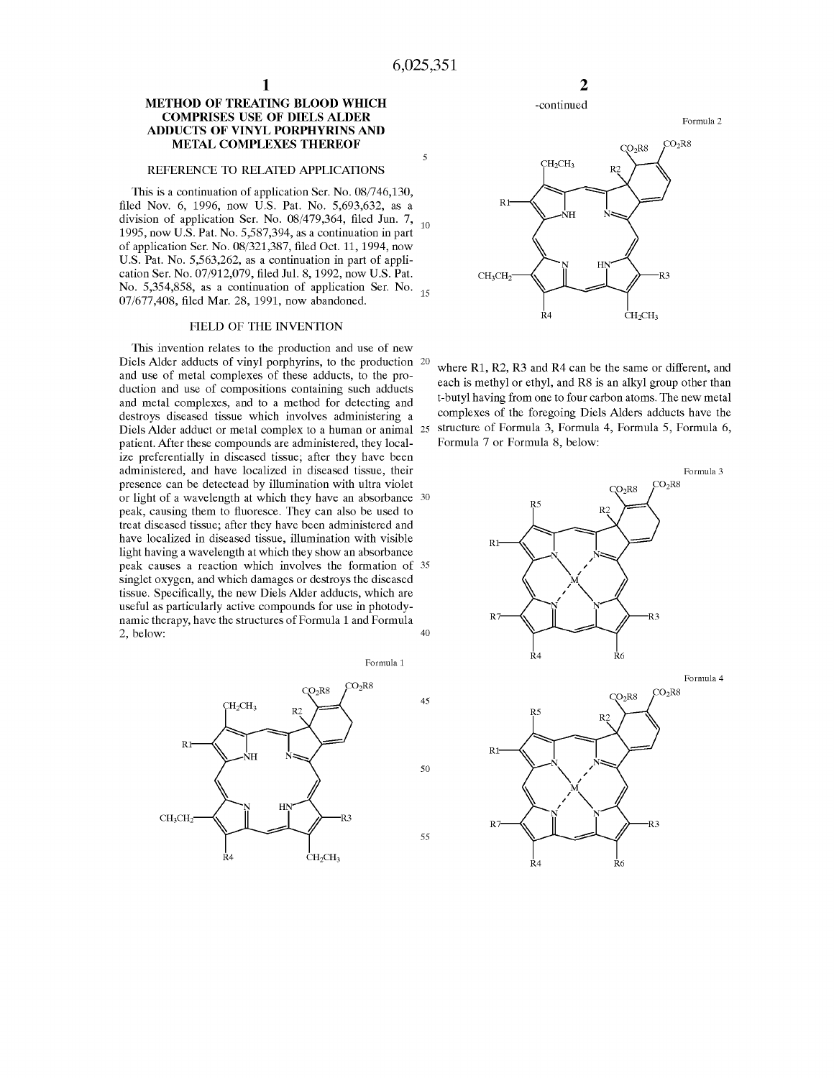#### **METHOD OF TREATING BLOOD WHICH COMPRISES USE OF DIELS ALDER ADDUCTS OF VINYL PORPHYRINS AND METAL COMPLEXES THEREOF**

**1** 

#### REFERENCE TO RELATED APPLICATIONS

This is a continuation of application Ser. No. 08/746,130, filed Nov. 6, 1996, now U.S. Pat. No. 5,693,632, as a division of application Ser. No.  $08/479,364$ , filed Jun. 7,  $_{10}$ 1995, now U.S. Pat. No. 5,587,394, as a continuation in part of application Ser. No. 08/321,387, filed Oct. 11, 1994, now U.S. Pat. No. 5,563,262, as a continuation in part of application Ser. No. 07/912,079, filed Jul. 8, 1992, now U.S. Pat. No. 5,354,858, as a continuation of application Ser. No. 15 07/677,408, filed Mar. 28, 1991, now abandoned.

#### FIELD OF THE INVENTION

This invention relates to the production and use of new Diels Alder adducts of vinyl porphyrins, to the production 20 and use of metal complexes of these adducts, to the production and use of compositions containing such adducts and metal complexes, and to a method for detecting and destroys diseased tissue which involves administering a Diels Alder adduct or metal complex to a human or animal 25 patient. After these compounds are administered, they localize preferentially in diseased tissue; after they have been administered, and have localized in diseased tissue, their presence can be detectead by illumination with ultra violet or light of a wavelength at which they have an absorbance 30 peak, causing them to fluoresce. They can also be used to treat diseased tissue; after they have been administered and have localized in diseased tissue, illumination with visible light having a wavelength at which they show an absorbance peak causes a reaction which involves the formation of 35 singlet oxygen, and which damages or destroys the diseased tissue. Specifically, the new Diels Alder adducts, which are useful as particularly active compounds for use in photodynamic therapy, have the structures of Formula 1 and Formula  $2, below: 40$ 





-continued



where R1, R2, R3 and R4 can be the same or different, and each is methyl or ethyl, and RS is an alkyl group other than t-butyl having from one to four carbon atoms. The new metal complexes of the foregoing Diels Alders adducts have the structure of Formula 3, Formula 4, Formula 5, Formula 6, Formula 7 or Formula 8, below:

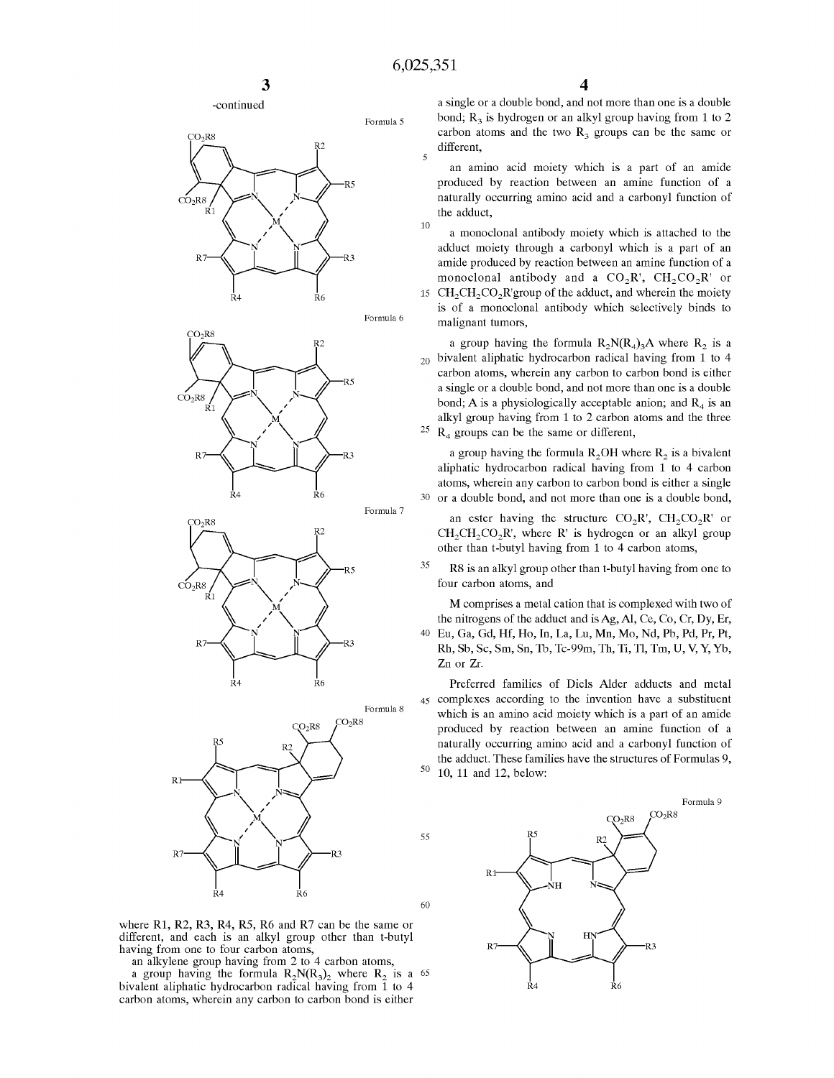10

55

60













where R1, R2, R3, R4, R5, R6 and R7 can be the same or different, and each is an alkyl group other than t-butyl having from one to four carbon atoms,

an alkylene group having from 2 to 4 carbon atoms,

a group having the formula  $R_2N(R_3)$  where  $R_2$  is a 65 bivalent aliphatic hydrocarbon radical having from 1 to 4 carbon atoms, wherein any carbon to carbon bond is either

a single or a double bond, and not more than one is a double bond;  $R<sub>3</sub>$  is hydrogen or an alkyl group having from 1 to 2 carbon atoms and the two  $R<sub>3</sub>$  groups can be the same or different,

an amino acid moiety which is a part of an amide produced by reaction between an amine function of a naturally occurring amino acid and a carbonyl function of the adduct,

15  $\text{CH}_2\text{CH}_2\text{CO}_2\text{R}$ 'group of the adduct, and wherein the moiety a monoclonal antibody moiety which is attached to the adduct moiety through a carbonyl which is a part of an amide produced by reaction between an amine function of a monoclonal antibody and a  $CO_2R$ ,  $CH_2CO_2R$  or

is of a monoclonal antibody which selectively binds to malignant tumors,

 $_{20}$  bivalent aliphatic hydrocarbon radical having from 1 to 4 25 a group having the formula  $R_2N(R_4)_3A$  where  $R_2$  is a carbon atoms, wherein any carbon to carbon bond is either a single or a double bond, and not more than one is a double bond; A is a physiologically acceptable anion; and  $R_4$  is an alkyl group having from 1 to 2 carbon atoms and the three **R4** groups can be the same or different,

a group having the formula  $R_2OH$  where  $R_2$  is a bivalent aliphatic hydrocarbon radical having from 1 to 4 carbon atoms, wherein any carbon to carbon bond is either a single 30 or a double bond, and not more than one is a double bond,

an ester having the structure  $CO_2R'$ ,  $CH_2CO_2R'$  or  $CH_2CH_2CO_2R'$ , where R' is hydrogen or an alkyl group other than t-butyl having from 1 to 4 carbon atoms,

35 RS is an alkyl group other than t-butyl having from one to four carbon atoms, and

M comprises a metal cation that is complexed with two of the nitrogens of the adduct and is Ag, Al, Ce, Co, Cr, Dy, Er, 40 Eu, Ga, Gd, Hf, Ho, In, La, Lu, Mn, Mo, Nd, Pb, Pd, Pr, Pt, Rh, Sb, Sc, Sm, Sn, Th, Tc-99m, Th, Ti, Tl, Tm, U, V, Y, Yb, Zn or Zr.

Preferred families of Diels Alder adducts and metal 45 complexes according to the invention have a substituent which is an amino acid moiety which is a part of an amide produced by reaction between an amine function of a naturally occurring amino acid and a carbonyl function of the adduct. These families have the structures of Formulas 9, <sup>50</sup> 10, 11 and 12, below:

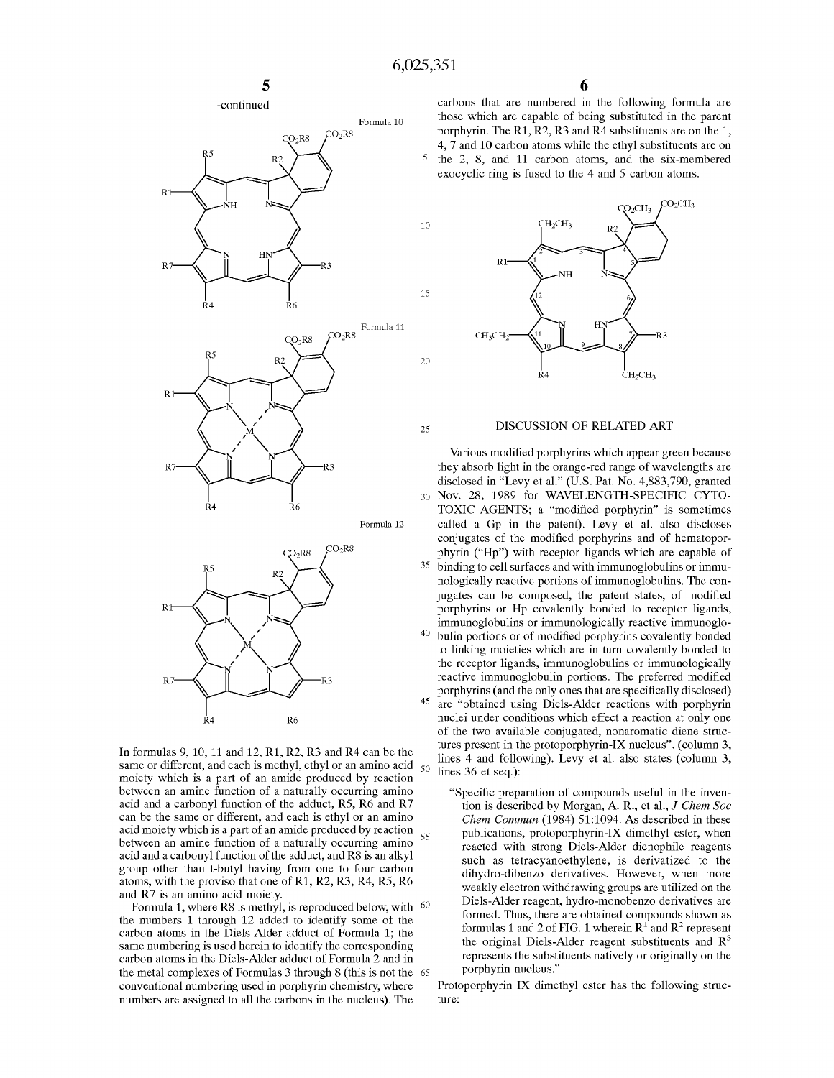15

20







Formula 12



same or different, and each is methyl, ethyl or an amino acid  $_{50}$ moiety which is a part of an amide produced by reaction between an amine function of a naturally occurring amino acid and a carbonyl function of the adduct, RS, R6 and R7 can be the same or different, and each is ethyl or an amino acid moiety which is a part of an amide produced by reaction between an amine function of a naturally occurring amino  $55$ acid and a carbonyl function of the adduct, and RS is an alkyl group other than t-butyl having from one to four carbon atoms, with the proviso that one of Rl, R2, R3, R4, RS, R6 and R7 is an amino acid moiety.

Formula 1, where R8 is methyl, is reproduced below, with  $60$ the numbers 1 through 12 added to identify some of the carbon atoms in the Diels-Alder adduct of Formula 1; the same numbering is used herein to identify the corresponding carbon atoms in the Diels-Alder adduct of Formula 2 and in the metal complexes of Formulas 3 through 8 (this is not the 65 conventional numbering used in porphyrin chemistry, where numbers are assigned to all the carbons in the nucleus). The

carbons that are numbered in the following formula are those which are capable of being substituted in the parent porphyrin. The R1, R2, R3 and R4 substituents are on the 1, 4, 7 and 10 carbon atoms while the ethyl substituents are on 5 the 2, 8, and 11 carbon atoms, and the six-membered exocyclic ring is fused to the 4 and 5 carbon atoms.



# <sup>25</sup>**DISCUSSION OF RELATED ART**

Various modified porphyrins which appear green because they absorb light in the orange-red range of wavelengths are disclosed in "Levy et al." (U.S. Pat. No. 4,883,790, granted 30 Nov. 28, 1989 for WAVELENGTH-SPECIFIC CYTO-TOXIC AGENTS; a "modified porphyrin" is sometimes called a Gp in the patent). Levy et al. also discloses conjugates of the modified porphyrins and of hematoporphyrin ("Hp") with receptor ligands which are capable of 35 binding to cell surfaces and with immunoglobulins or immunologically reactive portions of immunoglobulins. The conjugates can be composed, the patent states, of modified porphyrins or **Hp** covalently bonded to receptor ligands, immunoglobulins or immunologically reactive immunoglo-<sup>40</sup> bulin portions or of modified porphyrins covalently bonded to linking moieties which are in turn covalently bonded to the receptor ligands, immunoglobulins or immunologically reactive immunoglobulin portions. The preferred modified porphyrins ( and the only ones that are specifically disclosed) 45 are "obtained using Diels-Alder reactions with porphyrin nuclei under conditions which effect a reaction at only one of the two available conjugated, nonaromatic diene structures present in the protoporphyrin-IX nucleus". (column 3, In formulas 9, 10, 11 and 12, R1, R2, R3 and R4 can be the lines present in the protoporphyrm- $\lambda$  metrics. (column 3, Innex and following). Levy et al. also states (column 3, lines 36 et seq.):

> "Specific preparation of compounds useful in the invention is described by Morgan, A R., et al., *J Chem Soc Chem Commun* (1984) 51:1094. As described in these publications, protoporphyrin-IX dimethyl ester, when reacted with strong Diels-Alder dienophile reagents such as tetracyanoethylene, is derivatized to the dihydro-dibenzo derivatives. However, when more weakly electron withdrawing groups are utilized on the Diels-Alder reagent, hydro-monobenzo derivatives are formed. Thus, there are obtained compounds shown as formulas 1 and 2 of FIG. 1 wherein  $R^1$  and  $R^2$  represent the original Diels-Alder reagent substituents and  $R<sup>3</sup>$ represents the substituents natively or originally on the porphyrin nucleus."

Protoporphyrin **IX** dimethyl ester has the following structure: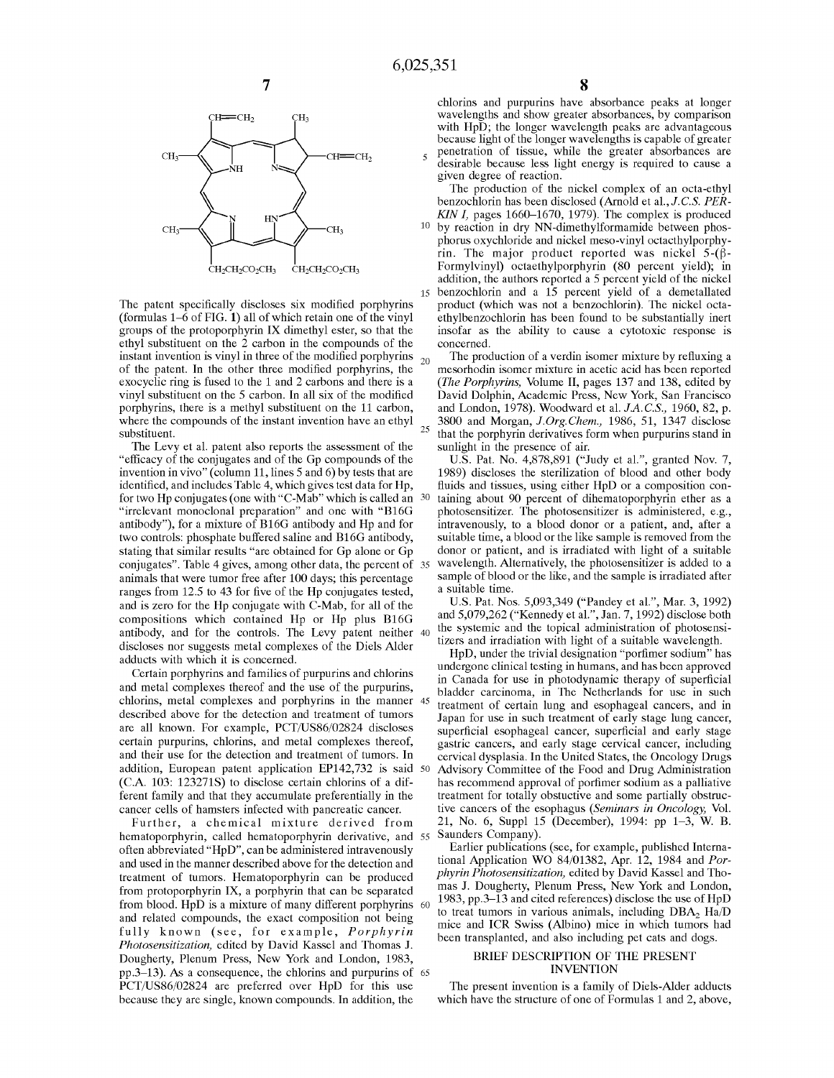concerned.



The patent specifically discloses six modified porphyrins (formulas 1-6 of **FIG. 1)** all of which retain one of the vinyl groups of the protoporphyrin **IX** dimethyl ester, so that the ethyl substituent on the 2 carbon in the compounds of the instant invention is vinyl in three of the modified porphyrins  $_{20}$  of the patent. In the other three modified porphyrins, the exocyclic ring is fused to the 1 and 2 carbons and there is a vinyl substituent on the 5 carbon. In all six of the modified porphyrins, there is a methyl substituent on the 11 carbon, where the compounds of the instant invention have an ethyl substituent.

The Levy et al. patent also reports the assessment of the sunlight in the presence of air. "efficacy of the conjugates and of the Gp compounds of the invention in vivo" (column 11, lines 5 and 6) by tests that are identified, and includes Table 4, which gives test data for Hp, for two Hp conjugates ( one with "C-Mab" which is called an "irrelevant monoclonal preparation" and one with "B16G antibody"), for a mixture of B16G antibody and **Hp** and for two controls: phosphate buffered saline and B16G antibody, stating that similar results "are obtained for Gp alone or Gp animals that were tumor free after 100 days; this percentage ranges from 12.5 to 43 for five of the **Hp** conjugates tested, and is zero for the Hp conjugate with C-Mab, for all of the compositions which contained Hp or Hp plus B16G exhipped the controls. The Levy patent neither 40 the systemic and the topical administration of photosensi-<br>antibody, and for the controls. The Levy patent neither 40 the systemic and the topical administration of photose discloses nor suggests metal complexes of the Diels Alder adducts with which it is concerned.

Certain porphyrins and families of purpurins and chlorins and metal complexes thereof and the use of the purpurins, chlorins, metal complexes and porphyrins in the manner described above for the detection and treatment of tumors are all known. For example, PCT/US86/02824 discloses certain purpurins, chlorins, and metal complexes thereof, and their use for the detection and treatment of tumors. In addition, European patent application EP142,732 is said 50 **(C.A.** 103: 123271S) to disclose certain chlorins of a different family and that they accumulate preferentially in the cancer cells of hamsters infected with pancreatic cancer.

hematoporphyrin, called hematoporphyrin derivative, and 55 Saunders Company). often abbreviated **"HpD",** can be administered intravenously and used in the manner described above for the detection and treatment of tumors. Hematoporphyrin can be produced from protoporphyrin **IX,** a porphyrin that can be separated from blood. **HpD is** a mixture of many different porphyrins and related compounds, the exact composition not being fully known (see, for example, *Porphyrin Photosensitization,* edited by David Kassel and Thomas J. Dougherty, Plenum Press, New York and London, 1983, pp.3-13). As a consequence, the chlorins and purpurins of 65 PCT/US86/02824 are preferred over HpD for this use because they are single, known compounds. In addition, the

chlorins and purpurins have absorbance peaks at longer wavelengths and show greater absorbances, by comparison with HpD; the longer wavelength peaks are advantageous because light of the longer wavelengths is capable of greater

<sup>5</sup>penetration of tissue, while the greater absorbances are desirable because less light energy is required to cause a given degree of reaction.

The production of the nickel complex of an octa-ethyl benzochlorin has been disclosed (Arnold et al., *J.C.S. PER-KIN I,* pages 1660-1670, 1979). The complex is produced

10 by reaction in dry NN-dimethylformamide between phosphorus oxychloride and nickel mesa-vinyl octacthylporphyrin. The major product reported was nickel  $5-(\beta-$ Formylvinyl) octaethylporphyrin (80 percent yield); in addition, the authors reported a 5 percent yield of the nickel 15 benzochlorin and a 15 percent yield of a demetallated product (which was not a benzochlorin). The nickel octaethylbenzochlorin has been found to be substantially inert insofar as the ability to cause a cytotoxic response is

The production of a verdin isomer mixture by refluxing a mesorhodin isomer mixture in acetic acid has been reported *(The Porphyrins,* Volume II, pages 137 and 138, edited by David Dolphin, Academic Press, New York, San Francisco and London, 1978). Woodward et al. *JA.C.S.,* 1960, 82, p. 3800 and Morgan, *J.Org.Chem.,* 1986, 51, 1347 disclose that the porphyrin derivatives form when purpurins stand in

conjugates". Table 4 gives, among other data, the percent of 35 wavelength. Alternatively, the photosensitizer is added to a U.S. Pat. No. 4,878,891 ("Judy et al.", granted Nov. 7, 1989) discloses the sterilization of blood and other body fluids and tissues, using either HpD or a composition containing about 90 percent of dihematoporphyrin ether as a photosensitizer. The photosensitizer is administered, e.g., intravenously, to a blood donor or a patient, and, after a suitable time, a blood or the like sample is removed from the donor or patient, and is irradiated with light of a suitable sample of blood or the like, and the sample is irradiated after a suitable time.

U.S. Pat. Nos. 5,093,349 ("Pandey et al.", Mar. 3, 1992) and 5,079,262 ("Kennedy et al.", Jan. 7, 1992) disclose both tizers and irradiation with light of a suitable wavelength.

**HpD,** under the trivial designation "porfimer sodium" has undergone clinical testing in humans, and has been approved in Canada for use in photodynamic therapy of superficial bladder carcinoma, in The Netherlands for use in such treatment of certain lung and esophageal cancers, and in Japan for use in such treatment of early stage lung cancer, superficial esophageal cancer, superficial and early stage gastric cancers, and early stage cervical cancer, including cervical dysplasia. In the United States, the Oncology Drugs Advisory Committee of the Food and Drug Administration has recommend approval of porfimer sodium as a palliative treatment for totally obstuctive and some partially obstructive cancers of the esophagus *(Seminars in Oncology,* Vol. Further, a chemical mixture derived from 21, No. 6, Suppl 15 (December), 1994: pp 1-3, W. B.

> Earlier publications (see, for example, published International Application WO 84/01382, Apr. 12, 1984 and *Porphyrin Photosensitization,* edited by David Kassel and Thomas J. Dougherty, Plenum Press, New York and London, 1983, pp.3– $\overline{1}3$  and cited references) disclose the use of HpD to treat tumors in various animals, including DBA<sub>2</sub> Ha/D mice and ICR Swiss (Albino) mice in which tumors had been transplanted, and also including pet cats and dogs.

#### BRIEF DESCRIPTION OF THE PRESENT INVENTION

The present invention is a family of Diels-Alder adducts which have the structure of one of Formulas 1 and 2, above,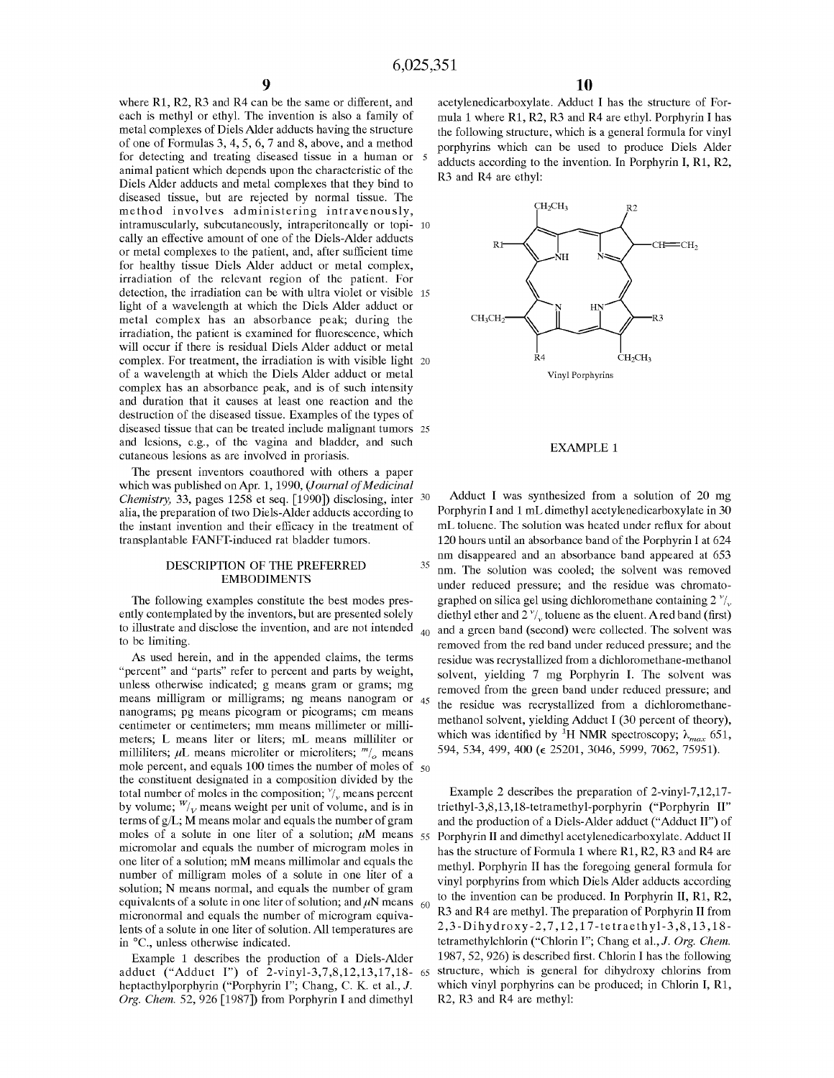where R1, R2, R3 and R4 can be the same or different, and each is methyl or ethyl. The invention is also a family of metal complexes of Diels Alder adducts having the structure of one of Formulas 3, 4, 5, 6, 7 and 8, above, and a method for detecting and treating diseased tissue in a human or animal patient which depends upon the characteristic of the Diels Alder adducts and metal complexes that they bind to diseased tissue, but are rejected by normal tissue. The method involves administering intravenously, intramuscularly, subcutaneously, intraperitoneally or topi- 10 cally an effective amount of one of the Diels-Alder adducts or metal complexes to the patient, and, after sufficient time for healthy tissue Diels Alder adduct or metal complex, irradiation of the relevant region of the patient. For detection, the irradiation can be with ultra violet or visible 15 light of a wavelength at which the Diels Alder adduct or metal complex has an absorbance peak; during the irradiation, the patient is examined for fluorescence, which will occur if there is residual Diels Alder adduct or metal complex. For treatment, the irradiation is with visible light 20 of a wavelength at which the Diels Alder adduct or metal complex has an absorbance peak, and is of such intensity and duration that it causes at least one reaction and the destruction of the diseased tissue. Examples of the types of diseased tissue that can be treated include malignant tumors 25 and lesions, e.g., of the vagina and bladder, and such cutaneous lesions as are involved in proriasis.

The present inventors coauthored with others a paper which was published on Apr. 1, 1990, *(Journal of Medicinal Chemistry,* 33, pages 1258 et seq. [1990]) disclosing, inter 30 alia, the preparation of two Diels-Alder adducts according to the instant invention and their efficacy in the treatment of transplantable FANFT-induced rat bladder tumors.

#### DESCRIPTION OF THE PREFERRED EMBODIMENTS

The following examples constitute the best modes presently contemplated by the inventors, but are presented solely to illustrate and disclose the invention, and are not intended to be limiting.

As used herein, and in the appended claims, the terms "percent" and "parts" refer to percent and parts by weight, unless otherwise indicated; g means gram or grams; mg means milligram or milligrams; ng means nanogram or nanograms; pg means picogram or picograms; cm means centimeter or centimeters; mm means millimeter or millimeters; L means liter or liters; mL means milliliter or milliliters;  $\mu$ L means microliter or microliters;  $m/$ <sub>o</sub> means mole percent, and equals 100 times the number of moles of  $50$ the constituent designated in a composition divided by the total number of moles in the composition;  $\frac{v}{v}$  means percent by volume;  $W_{V}$  means weight per unit of volume, and is in terms of g/L; **M** means molar and equals the number of gram moles of a solute in one liter of a solution;  $\mu$ M means 55 Porphyrin II and dimethyl acetylenedicarboxylate. Adduct II micromolar and equals the number of microgram moles in one liter of a solution; mM means millimolar and equals the number of milligram moles of a solute in one liter of a solution; N means normal, and equals the number of gram equivalents of a solute in one liter of solution; and  $\mu$ N means 60 micronormal and equals the number of microgram equivalents of a solute in one liter of solution. All temperatures are in °C., unless otherwise indicated.

Example 1 describes the production of a Diels-Alder adduct ("Adduct I") of 2-vinyl-3,7,8,12,13,17,18- 65 heptacthylporphyrin ("Porphyrin I"; Chang, C. K. et al., J. *Org. Chem.* 52, 926 [1987]) from Porphyrin I and dimethyl

acetylenedicarboxylate. Adduct I has the structure of Formula 1 where Rl, R2, R3 and R4 are ethyl. Porphyrin I has the following structure, which is a general formula for vinyl porphyrins which can be used to produce Diels Alder adducts according to the invention. In Porphyrin I, R1, R2, R3 and R4 are ethyl:



#### EXAMPLE 1

Adduct I was synthesized from a solution of 20 mg Porphyrin I and 1 mL dimethyl acetylenedicarboxylate in 30 mL toluene. The solution was heated under reflux for about 120 hours until an absorbance band of the Porphyrin I at 624 nm disappeared and an absorbance band appeared at 653  $35$  nm. The solution was cooled; the solvent was removed under reduced pressure; and the residue was chromatographed on silica gel using dichloromethane containing  $2^{\nu}/v$ diethyl ether and  $2^{\nu}$ , toluene as the eluent. A red band (first) 40 and a green band (second) were collected. The solvent was removed from the red band under reduced pressure; and the residue was recrystallized from a dichloromethane-methanol solvent, yielding 7 mg Porphyrin I. The solvent was removed from the green band under reduced pressure; and the residue was recrystallized from a dichloromethanemethanol solvent, yielding Adduct I (30 percent of theory), which was identified by <sup>1</sup>H NMR spectroscopy;  $\lambda_{max}$  651, 594, 534, 499, 400 (E 25201, 3046, 5999, 7062, 75951).

Example 2 describes the preparation of 2-vinyl-7,12,17 triethyl-3,8,13,18-tetramethy 1-porphyrin ("Porphyrin II" and the production of a Diels-Alder adduct ("Adduct II") of has the structure of Formula 1 where R1, R2, R3 and R4 are methyl. Porphyrin II has the foregoing general formula for vinyl porphyrins from which Diels Alder adducts according to the invention can be produced. In Porphyrin II, Rl, R2, R3 and R4 are methyl. The preparation of Porphyrin II from 2,3-Dihydroxy-2, 7, 12, 1 7-te tr ae th yl-3 ,8, 13, 18 tetramethylchlorin ("Chlorin I"; Chang et al., J. *Org. Chem.*  1987, 52, 926) is described first. Chlorin I has the following structure, which is general for dihydroxy chlorins from which vinyl porphyrins can be produced; in Chlorin I, R1, R2, R3 and R4 are methyl: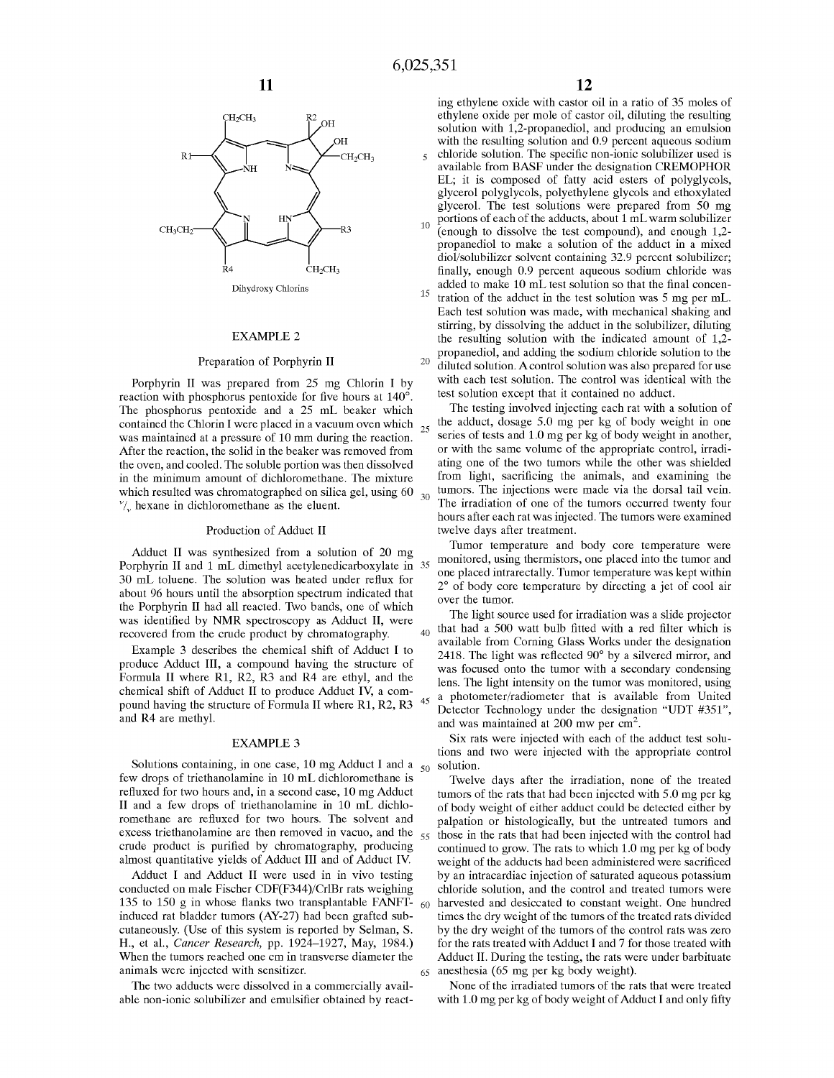

#### EXAMPLE 2

#### Preparation of Porphyrin II

reaction with phosphorus pentoxide for five hours at 140°. The phosphorus pentoxide and a 25 mL beaker which contained the Chlorin I were placed in a vacuum oven which was maintained at a pressure of 10 mm during the reaction. After the reaction, the solid in the beaker was removed from the oven, and cooled. The soluble portion was then dissolved in the minimum amount of dichloromethane. The mixture from light, sacrificing the animals, and examining the which resulted was chromatographed on silica gel, using  $60_{30}$  $v_{\nu}$  hexane in dichloromethane as the eluent.

#### Production of Adduct II

Adduct II was synthesized from a solution of 20 mg Porphyrin II and 1 mL dimethyl acetylenedicarboxylate in 35 30 mL toluene. The solution was heated under reflux for about 96 hours until the absorption spectrum indicated that  $\frac{2}{\text{over the tumor}}$ the Porphyrin II had all reacted. Two bands, one of which was identified by **NMR** spectroscopy as Adduct II, were recovered from the crude product by chromatography.

Example 3 describes the chemical shift of Adduct I to produce Adduct III, a compound having the structure of Formula II where R1, R2, R3 and R4 are ethyl, and the chemical shift of Adduct II to produce Adduct IV, a compound having the structure of Formula II where  $\overline{R1}$ ,  $\overline{R2}$ ,  $\overline{R3}$  <sup>45</sup> and R4 are methyl.

#### EXAMPLE 3

Solutions containing, in one case, 10 mg Adduct I and a  $_{50}$ few drops of triethanolamine in 10 mL dichloromethane is refluxed for two hours and, in a second case, 10 mg Adduct II and a few drops of triethanolamine in 10 mL dichloromethane are refluxed for two hours. The solvent and excess triethanolamine are then removed in vacuo, and the crude product is purified by chromatography, producing almost quantitative yields of Adduct III and of Adduct **IV.** 

Adduct I and Adduct II were used in in vivo testing conducted on male Fischer CDF(F344)/Cr1Br rats weighing 135 to 150 g in whose flanks two transplantable **FANFT**induced rat bladder tumors (AY-27) had been grafted subcutaneously. (Use of this system is reported by Selman, S. **H.,** et al., *Cancer Research,* pp. 1924-1927, May, 1984.) When the tumors reached one cm in transverse diameter the animals were injected with sensitizer.

The two adducts were dissolved in a commercially available non-ionic solubilizer and emulsifier obtained by react-

ing ethylene oxide with castor oil in a ratio of 35 moles of ethylene oxide per mole of castor oil, diluting the resulting solution with 1,2-propanediol, and producing an emulsion with the resulting solution and 0.9 percent aqueous sodium 5 chloride solution. The specific non-ionic solubilizer used is available from BASF under the designation CREMOPHOR EL; it is composed of fatty acid esters of polyglycols, glycerol polyglycols, polyethylene glycols and ethoxylated glycerol. The test solutions were prepared from 50 mg portions of each of the adducts, about 1 mL warm solubilizer

(enough to dissolve the test compound), and enough 1,2 propanediol to make a solution of the adduct in a mixed diol/solubilizer solvent containing 32.9 percent solubilizer; finally, enough 0.9 percent aqueous sodium chloride was added to make 10 mL test solution so that the final concen-

<sup>15</sup> tration of the adduct in the test solution was 5 mg per mL. Each test solution was made, with mechanical shaking and stirring, by dissolving the adduct in the solubilizer, diluting the resulting solution with the indicated amount of 1,2 propanediol, and adding the sodium chloride solution to the diluted solution. A control solution was also prepared for use Porphyrin II was prepared from 25 mg Chlorin I by with each test solution. The control was identical with the test solution except that it contained no adduct.

> The testing involved injecting each rat with a solution of the adduct, dosage 5.0 mg per kg of body weight in one series of tests and 1.0 mg per kg of body weight in another, or with the same volume of the appropriate control, irradiating one of the two tumors while the other was shielded tumors. The injections were made via the dorsal tail vein. The irradiation of one of the tumors occurred twenty four hours after each rat was injected. The tumors were examined twelve days after treatment.

> Tumor temperature and body core temperature were monitored, using thermistors, one placed into the tumor and one placed intrarectally. Tumor temperature was kept within 2° of body core temperature by directing a jet of cool air

The light source used for irradiation was a slide projector  $_{40}$  that had a 500 watt bulb fitted with a red filter which is available from Corning Glass Works under the designation 2418. The light was reflected 90° by a silvered mirror, and was focused onto the tumor with a secondary condensing lens. The light intensity on the tumor was monitored, using a photometer/radiometer that is available from United Detector Technology under the designation "UDT #351", and was maintained at  $200$  mw per  $\text{cm}^2$ .

Six rats were injected with each of the adduct test solutions and two were injected with the appropriate control solution.

Twelve days after the irradiation, none of the treated tumors of the rats that had been injected with 5.0 mg per kg of body weight of either adduct could be detected either by palpation or histologically, but the untreated tumors and 55 those in the rats that had been injected with the control had continued to grow. The rats to which 1.0 mg per kg of body weight of the adducts had been administered were sacrificed by an intracardiac injection of saturated aqueous potassium chloride solution, and the control and treated tumors were 60 harvested and desiccated to constant weight. One hundred times the dry weight of the tumors of the treated rats divided by the dry weight of the tumors of the control rats was zero for the rats treated with Adduct I and 7 for those treated with Adduct II. During the testing, the rats were under barbituate  $65$  anesthesia (65 mg per kg body weight).

None of the irradiated tumors of the rats that were treated with 1.0 mg per kg of body weight of Adduct I and only fifty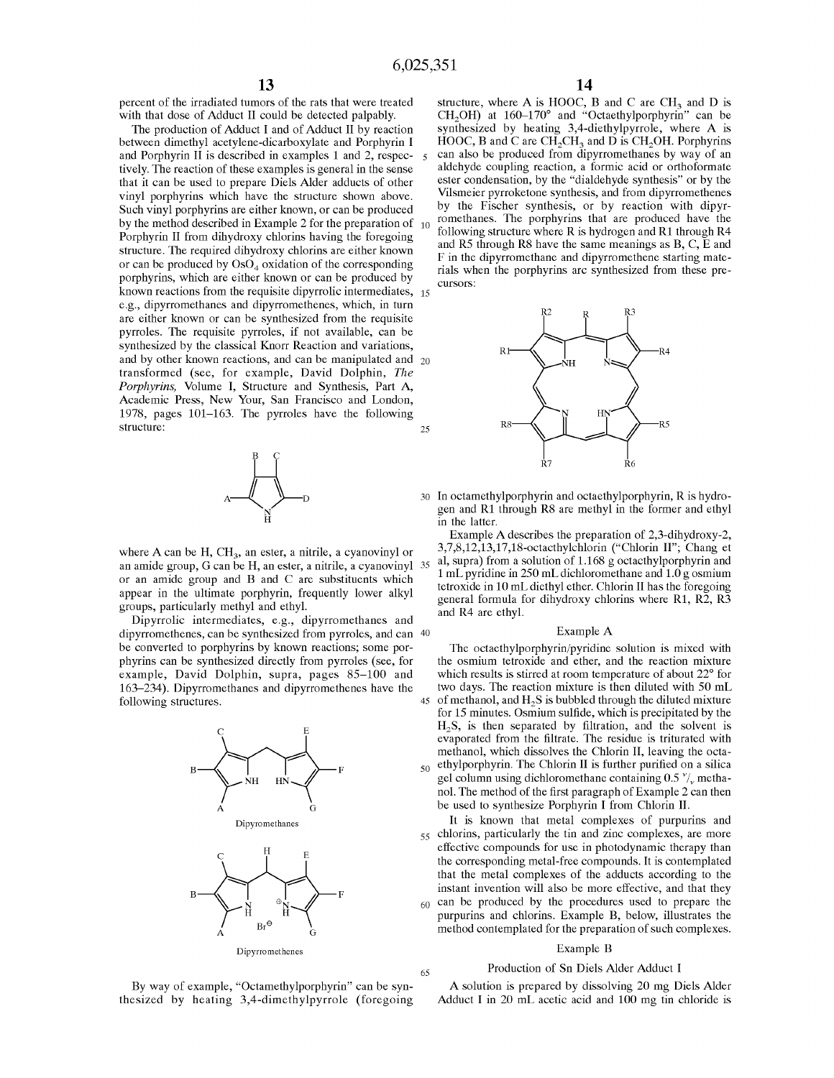percent of the irradiated tumors of the rats that were treated with that dose of Adduct II could be detected palpably.

The production of Adduct I and of Adduct II by reaction between dimethyl acetylene-dicarboxylate and Porphyrin I and Porphyrin II is described in examples 1 and 2, respec- s tively. The reaction of these examples is general in the sense that it can be used to prepare Diels Alder adducts of other vinyl porphyrins which have the structure shown above. Such vinyl porphyrins are either known, or can be produced by the method described in Example 2 for the preparation of  $_{10}$ Porphyrin II from dihydroxy chlorins having the foregoing structure. The required dihydroxy chlorins are either known or can be produced by  $\text{OsO}_4$  oxidation of the corresponding porphyrins, which are either known or can be produced by known reactions from the requisite dipyrrolic intermediates, 15 e.g., dipyrromethanes and dipyrromethenes, which, in turn are either known or can be synthesized from the requisite pyrroles. The requisite pyrroles, if not available, can be synthesized by the classical Knorr Reaction and variations, and by other known reactions, and can be manipulated and 20 transformed (see, for example, David Dolphin, *The Porphyrins,* Volume I, Structure and Synthesis, Part A, Academic Press, New Your, San Francisco and London, 1978, pages 101-163. The pyrroles have the following structure: 25



where A can be H, CH<sub>3</sub>, an ester, a nitrile, a cyanovinyl or an amide group, G can be **H,** an ester, a nitrile, a cyanovinyl or an amide group and B and C are substituents which appear in the ultimate porphyrin, frequently lower alkyl groups, particularly methyl and ethyl.

bups, particularly methyl and ethyl.<br>Dipyrrolic intermediates, e.g., dipyrromethanes and and R4 are ethyl. dipyrromethenes, can be synthesized from pyrroles, and can 40 be converted to porphyrins by known reactions; some porphyrins can be synthesized directly from pyrroles (see, for example, David Dolphin, supra, pages 85-100 and 163-234). Dipyrromethanes and dipyrromethenes have the following structures.



structure, where A is HOOC, B and C are  $CH<sub>3</sub>$  and D is  $CH<sub>2</sub>OH$ ) at 160–170° and "Octaethylporphyrin" can be synthesized by heating 3,4-diethylpyrrole, where A is HOOC, B and C are  $CH<sub>2</sub>CH<sub>3</sub>$  and D is CH<sub>2</sub>OH. Porphyrins can also be produced from dipyrromethanes by way of an aldehyde coupling reaction, a formic acid or orthoformate ester condensation, by the "dialdehyde synthesis" or by the Vilsmeier pyrroketone synthesis, and from dipyrromethenes by the Fischer synthesis, or by reaction with dipyrromethanes. The porphyrins that are produced have the following structure where R is hydrogen and R1 through R4 and RS through RS have the same meanings as B, C, E and **F** in the dipyrromethane and dipyrromethene starting materials when the porphyrins arc synthesized from these precursors:



30 In octamethylporphyrin and octaethylporphyrin, R is hydrogen and Rl through RS are methyl in the former and ethyl in the latter.

Example A describes the preparation of 2,3-dihydroxy-2, 3,7,8,12,13,17,18-octacthylchlorin ("Chlorin II"; Chang et al, supra) from a solution of 1.168 g octacthylporphyrin and 1 mL pyridine in 250 mL dichloromethane and 1.0 g osmium tetroxide in 10 mL diethyl ether. Chlorin II has the foregoing general formula for dihydroxy chlorins where R1,  $R\overline{2}$ ,  $R\overline{3}$ 

#### Example A

The octaethylporphyrin/pyridine solution is mixed with the osmium tetroxide and ether, and the reaction mixture which results is stirred at room temperature of about 22° for two days. The reaction mixture is then diluted with 50 mL 45 of methanol, and **H<sup>2</sup> S** is bubbled through the diluted mixture for 15 minutes. Osmium sulfide, which is precipitated by the **H<sup>2</sup> S,** is then separated by filtration, and the solvent is evaporated from the filtrate. The residue is triturated with methanol, which dissolves the Chlorin II, leaving the octa- $_{50}$  ethylporphyrin. The Chlorin II is further purified on a silica gel column using dichloromethane containing  $0.5 \frac{v}{v}$  methanol. The method of the first paragraph of Example 2 can then be used to synthesize Porphyrin I from Chlorin II.

It is known that metal complexes of purpurins and 55 chlorins, particularly the tin and zinc complexes, are more effective compounds for use in photodynamic therapy than the corresponding metal-free compounds. It is contemplated that the metal complexes of the adducts according to the instant invention will also be more effective, and that they <sub>60</sub> can be produced by the procedures used to prepare the purpurins and chlorins. Example **B,** below, illustrates the method contemplated for the preparation of such complexes.

#### Example **B**

#### Production of Sn Diels Alder Adduct I

By way of example, "Octamethylporphyrin" can be synthesized by heating 3,4-dimethylpyrrole (foregoing

65

A solution is prepared by dissolving 20 mg Diels Alder Adduct I in 20 mL acetic acid and 100 mg tin chloride is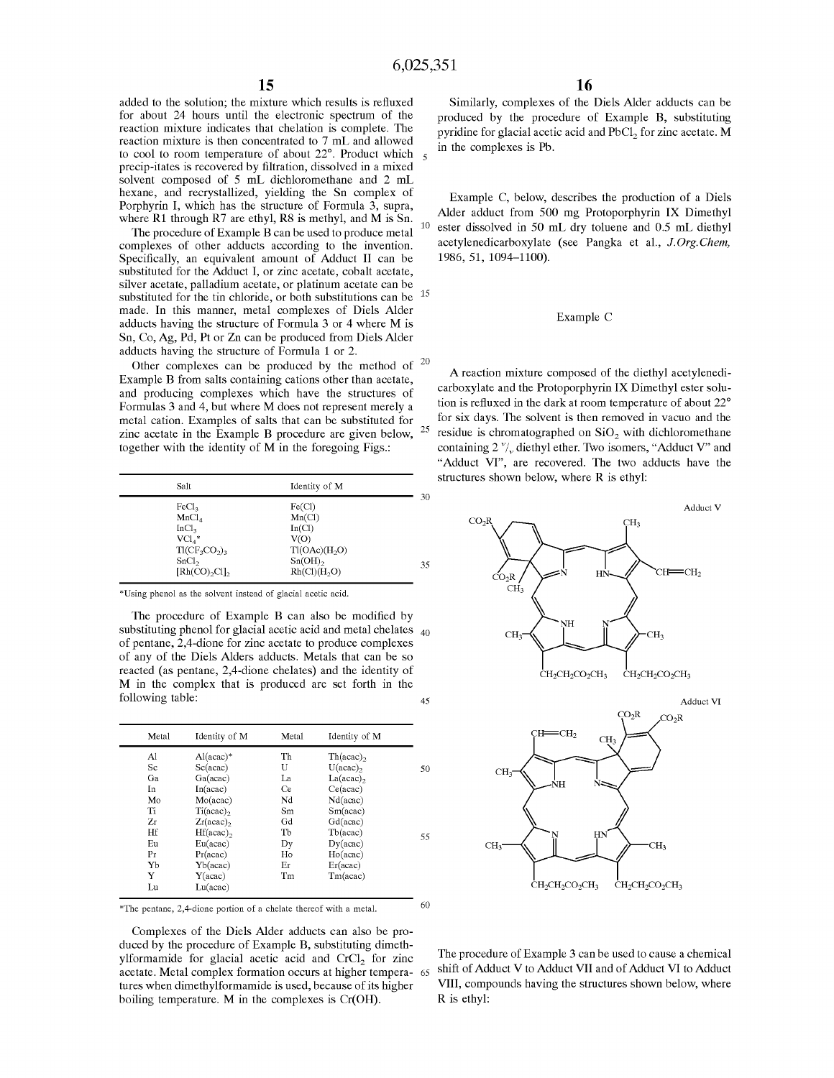added to the solution; the mixture which results is refluxed for about 24 hours until the electronic spectrum of the reaction mixture indicates that chelation is complete. The reaction mixture is then concentrated to 7 mL and allowed to cool to room temperature of about 22 $\degree$ . Product which  $\frac{1}{5}$ precip-itates is recovered by filtration, dissolved in a mixed solvent composed of 5 mL dichloromethane and 2 mL hexane, and recrystallized, yielding the Sn complex of Porphyrin I, which has the structure of Formula 3, supra, where R1 through R7 are ethyl, R8 is methyl, and M is Sn.  $_{10}$ 

The procedure of Example B can be used to produce metal complexes of other adducts according to the invention. Specifically, an equivalent amount of Adduct II can be substituted for the Adduct I, or zinc acetate, cobalt acetate, silver acetate, palladium acetate, or platinum acetate can be substituted for the tin chloride, or both substitutions can be  $15$ made. In this manner, metal complexes of Diels Alder adducts having the structure of Formula 3 or 4 where M is Sn, Co, Ag, Pd, Pt or Zn can be produced from Diels Alder adducts having the structure of Formula 1 or 2.

Other complexes can be produced by the method of  $20$ Example **B** from salts containing cations other than acetate, and producing complexes which have the structures of Formulas 3 and 4, but where **M** does not represent merely a metal cation. Examples of salts that can be substituted for zinc acetate in the Example **B** procedure are given below, <sup>25</sup> together with the identity of **M** in the foregoing Figs.:

| Salt                                                                              | Identity of M                                                         |    |
|-----------------------------------------------------------------------------------|-----------------------------------------------------------------------|----|
| FeCl <sub>3</sub><br>MnCl <sub>4</sub><br>InCl <sub>2</sub><br>$\text{VCL}_{4}^*$ | Fe(Cl)<br>Mn(Cl)<br>In(Cl)<br>V(O)                                    | 30 |
| $T1(CF_3CO_2)_3$<br>SnCl <sub>2</sub><br>[Rh(CO),Cl]                              | T1(OAc)(H <sub>2</sub> O)<br>$Sn(OH)_{2}$<br>Rh(Cl)(H <sub>2</sub> O) | 35 |

\*Using phenol as the solvent instead of glacial acetic acid.

The procedure of Example B can also be modified by substituting phenol for glacial acetic acid and metal chelates <sub>40</sub> of pentane, 2,4-dione for zinc acetate to produce complexes of any of the Diels Alders adducts. Metals that can be so reacted (as pentane, 2,4-dione chelates) and the identity of M in the complex that is produced are set forth in the following table: 45

| Metal | Identity of M           | Metal | Identity of M     |    |
|-------|-------------------------|-------|-------------------|----|
| Al    | $Al(acac)*$             | Th    | $Th(acac)_{2}$    |    |
| Sc    | Sc(acc)                 | U     | $U(acc)_{2}$      | 50 |
| Ga    | Ga (acac)               | La    | $La(acc)_{2}$     |    |
| In    | In (acac)               | Ce    | Ce(acac)          |    |
| Mo    | Mo(acac)                | Nd    | Nd(acac)          |    |
| Ti    | $Ti (acac)$ ,           | Sm    | $Sm(\text{acac})$ |    |
| Zr    | $Zr(acac)$ <sub>2</sub> | Gd    | Gd(acac)          |    |
| Hf    | $Hf(acc)$ ,             | TЪ    | Tb(acac)          | 55 |
| Eu    | Eu(acac)                | Dy    | Dy (acac)         |    |
| Pr    | $Pr(\text{acc})$        | Ho    | Ho(acac)          |    |
| Yb    | Yb(acac)                | Er    | Er(acc)           |    |
| Y     | Y(acc)                  | Tm    | Tm(acac)          |    |
| Lu    | Lu(acac)                |       |                   |    |
|       |                         |       |                   |    |

\*The pentane, 2,4-dione portion of a chelate thereof with a metal.  $60$ 

Complexes of the Diels Alder adducts can also be produced by the procedure of Example B, substituting dimethylformamide for glacial acetic acid and  $CrCl<sub>2</sub>$  for zinc acetate. Metal complex formation occurs at higher temperatures when dimethylformamide is used, because of its higher boiling temperature. M in the complexes is Cr(OH).

Similarly, complexes of the Diels Alder adducts can be produced by the procedure of Example B, substituting pyridine for glacial acetic acid and PbCl<sub>2</sub> for zinc acetate. M in the complexes is Pb.

Example C, below, describes the production of a Diels Alder adduct from 500 mg Protoporphyrin **IX** Dimethyl ester dissolved in 50 mL dry toluene and 0.5 mL diethyl acetylenedicarboxylate (see Pangka et al., *J.Org.Chem,*  1986, 51, 1094-1100).

#### Example C

**A** reaction mixture composed of the diethyl acetylenedicarboxylate and the Protoporphyrin **IX** Dimethyl ester solution is refluxed in the dark at room temperature of about 22° for six days. The solvent is then removed in vacuo and the residue is chromatographed on  $SiO<sub>2</sub>$  with dichloromethane containing 2  $\frac{v}{v}$  diethyl ether. Two isomers, "Adduct V" and "Adduct VI", are recovered. The two adducts have the structures shown below, where R is ethyl:



The procedure of Example 3 can be used to cause a chemical shift of Adduct V to Adduct VII and of Adduct VI to Adduct VIII, compounds having the structures shown below, where R is ethyl: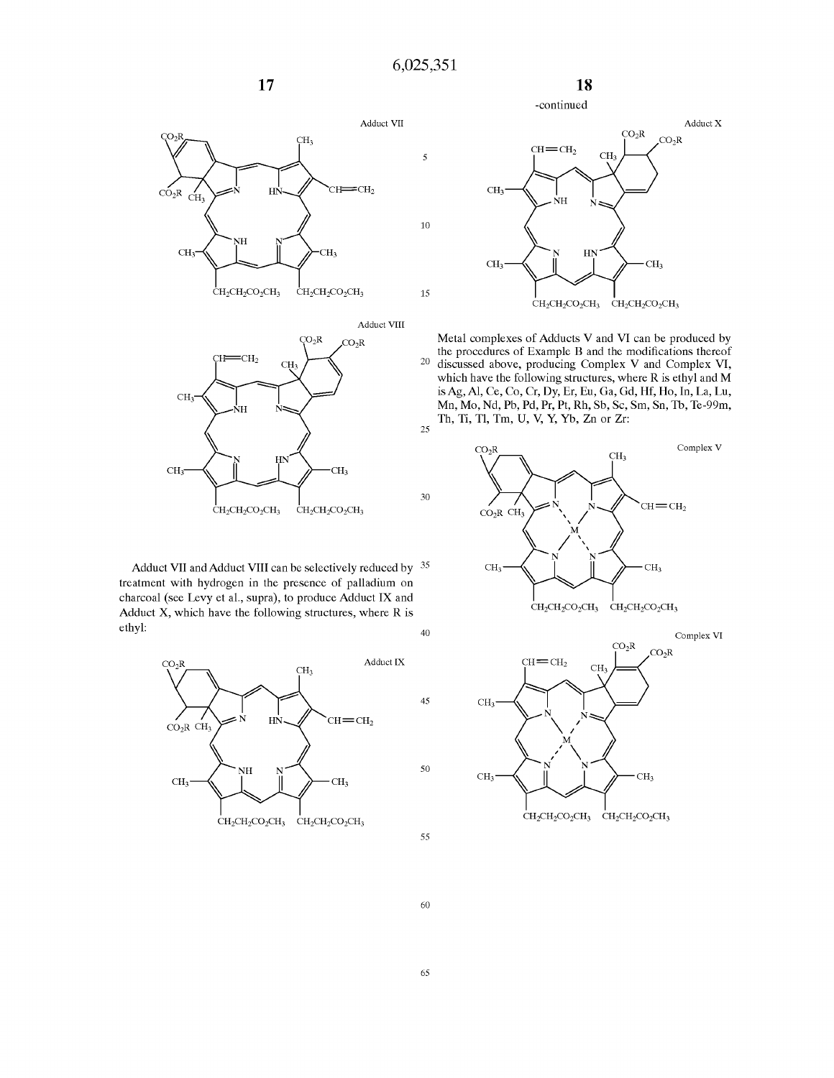10

15

30





Adduct VII and Adduct VIII can be selectively reduced by <sup>35</sup> treatment with hydrogen in the presence of palladium on charcoal (see Levy et al., supra), to produce Adduct **IX** and Adduct X, which have the following structures, where **R** is ethyl:  $40$  Complex VI





**18** 

Metal complexes of Adducts V and VI can be produced by the procedures of Example B and the modifications thereof 20 discussed above, producing Complex V and Complex VI, which have the following structures, where R is ethyl and M is Ag, Al, Ce, Co, Cr, Dy, Er, Eu, Ga, Gd, Hf, Ho, In, La, Lu, Mn, Mo, Nd, Pb, Pd, Pr, Pt, Rh, Sb, Sc, Sm, Sn, Th, Te-99m,  $\,$  Th, Ti, Tl, Tm, U, V, Y, Yb, Zn or Zr:  $\,$ 





60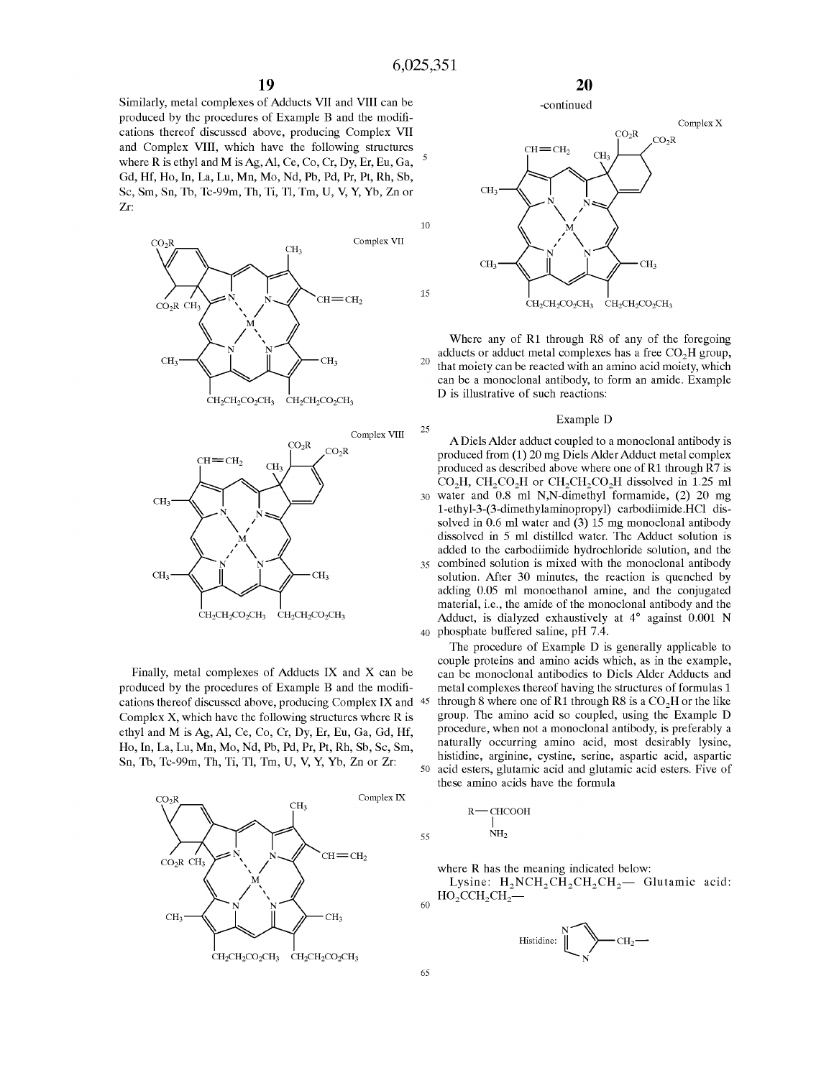15

25

Similarly, metal complexes of Adducts VII and VIII can be produced by the procedures of Example B and the modifications thereof discussed above, producing Complex VII and Complex VIII, which have the following structures where R is ethyl and M is Ag, Al, Ce, Co, Cr, Dy, Er, Eu, Ga,  $5$ Gd, Hf, Ho, In, La, Lu, Mn, Mo, Nd, Pb, Pd, Pr, Pt, Rh, Sb, Sc, Sm, Sn, Th, Tc-99m, Th, Ti, Tl, Tm, U, V, Y, Yb, Zn or Zr:





Finally, metal complexes of Adducts **IX** and X can be produced by the procedures of Example B and the modifications thereof discussed above, producing Complex **IX** and 45 Complex X, which have the following structures where **R** is ethyl and **M** is Ag, Al, Ce, Co, Cr, Dy, Er, Eu, Ga, Gd, Hf, Ho, In, La, Lu, Mn, Mo, Nd, Pb, Pd, Pr, Pt, Rh, Sb, Sc, Sm,









Where any of R1 through R8 of any of the foregoing adducts or adduct metal complexes has a free CO<sub>2</sub>H group, adducts or adduct metal complexes has a free **C02H** group, 20 that moiety can be reacted with an amino acid moiety, which can be a monoclonal antibody, to form an amide. Example **D is** illustrative of such reactions:

#### Example D

A Diels Alder adduct coupled to a monoclonal antibody is produced from (1) 20 mg DielsAlder Adduct metal complex produced as described above where one of R1 through  $\hat{R}$  *7* is  $CO<sub>2</sub>H$ , CH<sub>2</sub>CO<sub>2</sub>H or CH<sub>2</sub>CH<sub>2</sub>CO<sub>2</sub>H dissolved in 1.25 ml 30 water and 0.8 ml N,N-dimethyl formamide, (2) 20 mg l-ethyl-3-(3-dimethylaminopropyl) carbodiimide.HCl dissolved in 0.6 ml water and (3) 15 mg monoclonal antibody dissolved in 5 ml distilled water. The Adduct solution is added to the carbodiimide hydrochloride solution, and the 35 combined solution is mixed with the monoclonal antibody solution. After 30 minutes, the reaction is quenched by adding 0.05 ml monoethanol amine, and the conjugated material, i.e., the amide of the monoclonal antibody and the Adduct, is dialyzed exhaustively at 4° against 0.001 N 40 phosphate buffered saline, pH 7.4.

The procedure of Example D is generally applicable to couple proteins and amino acids which, as in the example, can be monoclonal antibodies to Diels Alder Adducts and metal complexes thereof having the structures of formulas 1 through 8 where one of R1 through R8 is a  $CO<sub>2</sub>H$  or the like group. The amino acid so coupled, using the Example D procedure, when not a monoclonal antibody, is preferably a naturally occurring amino acid, most desirably lysine, histidine, arginine, cystine, serine, aspartic acid, aspartic Sn, Tb, Tc-99m, Th, Ti, Tl, Tm, U, V, Y, Yb, Zn or Zr:<br>50 acid esters, glutamic acid and glutamic acid esters. Five of these amino acids have the formula

$$
\begin{array}{c}\nR \longrightarrow \text{CHCOOH} \\
\mid \\
55 \quad \text{NH}_2\n\end{array}
$$

where **R** has the meaning indicated below:

Lysine:  $H_2NCH_2CH_2CH_2CH_2$  Glutamic acid: **H0<sup>2</sup> CCH<sup>2</sup> CH<sup>2</sup> -**



 $60$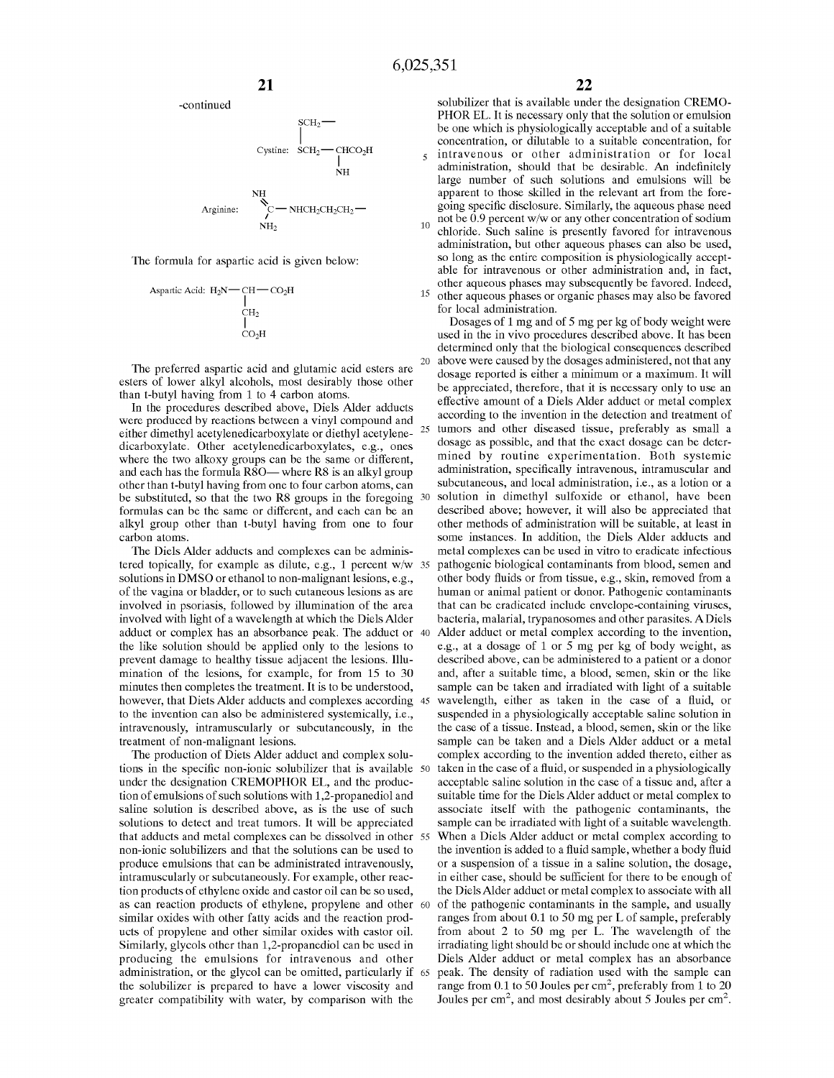

The formula for aspartic acid is given below:

$$
\begin{array}{c}\text{Aspartic Acid: }\mathrm{H_{2}N}\text{---}\mathrm{CH}\text{---}\mathrm{CO_{2}H}\\ \text{--}\qquad \qquad \begin{array}{c}\mathrm{CH_{2}}\\ \mathrm{CH_{2}}\\ \mathrm{CO_{2}H}\end{array}\end{array}
$$

The preferred aspartic acid and glutamic acid esters are esters of lower alkyl alcohols, most desirably those other than t-butyl having from 1 to 4 carbon atoms.

In the procedures described above, Diels Alder adducts were produced by reactions between a vinyl compound and either dimethyl acetylenedicarboxylate or diethyl acetylene- <sup>25</sup> dicarboxylate. Other acetylenedicarboxylates, e.g., ones where the two alkoxy groups can be the same or different, and each has the formula  $R\hat{8}O$ — where R8 is an alkyl group other than t-butyl having from one to four carbon atoms, can be substituted, so that the two **RS** groups in the foregoing formulas can be the same or different, and each can be an alkyl group other than t-butyl having from one to four carbon atoms.

The Diels Alder adducts and complexes can be administered topically, for example as dilute, e.g., 1 percent  $w/w$  35 solutions in **DMSO** or ethanol to non-malignant lesions, e.g., of the vagina or bladder, or to such cutaneous lesions as are involved in psoriasis, followed by illumination of the area involved with light of a wavelength at which the Diels Alder adduct or complex has an absorbance peak. The adduct or 40 the like solution should be applied only to the lesions to prevent damage to healthy tissue adjacent the lesions. Illumination of the lesions, for example, for from 15 to 30 minutes then completes the treatment. It is to be understood, however, that Diets Alder adducts and complexes according 45 to the invention can also be administered systemically, i.e., intravenously, intramuscularly or subcutaneously, in the treatment of non-malignant lesions.

The production of Diets Alder adduct and complex solutions in the specific non-ionic solubilizer that is available 50 under the designation CREMOPHOR EL, and the production of emulsions of such solutions with 1,2-propanediol and saline solution is described above, as is the use of such solutions to detect and treat tumors. It will be appreciated non-ionic solubilizers and that the solutions can be used to produce emulsions that can be administrated intravenously, intramuscularly or subcutaneously. For example, other reaction products of ethylene oxide and castor oil can be so used, as can reaction products of ethylene, propylene and other 60 similar oxides with other fatty acids and the reaction products of propylene and other similar oxides with castor oil. Similarly, glycols other than 1,2-propanediol can be used in producing the emulsions for intravenous and other administration, or the glycol can be omitted, particularly if 65 the solubilizer is prepared to have a lower viscosity and greater compatibility with water, by comparison with the

solubilizer that is available under the designation CREMO-PHOR EL. It is necessary only that the solution or emulsion be one which is physiologically acceptable and of a suitable concentration, or dilutable to a suitable concentration, for 5 intravenous or other administration or for local administration, should that be desirable. An indefinitely large number of such solutions and emulsions will be apparent to those skilled in the relevant art from the foregoing specific disclosure. Similarly, the aqueous phase need not be 0.9 percent w/w or any other concentration of sodium chloride. Such saline is presently favored for intravenous administration, but other aqueous phases can also be used, so long as the entire composition is physiologically acceptable for intravenous or other administration and, in fact, other aqueous phases may subsequently be favored. Indeed,

15 other aqueous phases or organic phases may also be favored for local administration.

that adducts and metal complexes can be dissolved in other 55 When a Diels Alder adduct or metal complex according to Dosages of 1 mg and of 5 mg per kg of body weight were used in the in vivo procedures described above. It has been determined only that the biological consequences described 20 above were caused by the dosages administered, not that any dosage reported is either a minimum or a maximum. It will be appreciated, therefore, that it is necessary only to use an effective amount of a Diels Alder adduct or metal complex according to the invention in the detection and treatment of tumors and other diseased tissue, preferably as small a dosage as possible, and that the exact dosage can be determined by routine experimentation. Both systemic administration, specifically intravenous, intramuscular and subcutaneous, and local administration, i.e., as a lotion or a solution in dimethyl sulfoxide or ethanol, have been described above; however, it will also be appreciated that other methods of administration will be suitable, at least in some instances. In addition, the Diels Alder adducts and metal complexes can be used in vitro to eradicate infectious pathogenic biological contaminants from blood, semen and other body fluids or from tissue, e.g., skin, removed from a human or animal patient or donor. Pathogenic contaminants that can be eradicated include envelope-containing viruses, bacteria, malarial, trypanosomes and other parasites. ADiels Alder adduct or metal complex according to the invention, e.g., at a dosage of 1 or 5 mg per kg of body weight, as described above, can be administered to a patient or a donor and, after a suitable time, a blood, semen, skin or the like sample can be taken and irradiated with light of a suitable wavelength, either as taken in the case of a fluid, or suspended in a physiologically acceptable saline solution in the case of a tissue. Instead, a blood, semen, skin or the like sample can be taken and a Diels Alder adduct or a metal complex according to the invention added thereto, either as taken in the case of a fluid, or suspended in a physiologically acceptable saline solution in the case of a tissue and, after a suitable time for the Diels Alder adduct or metal complex to associate itself with the pathogenic contaminants, the sample can be irradiated with light of a suitable wavelength. the invention is added to a fluid sample, whether a body fluid or a suspension of a tissue in a saline solution, the dosage, in either case, should be sufficient for there to be enough of the DielsAlder adduct or metal complex to associate with all of the pathogenic contaminants in the sample, and usually ranges from about 0.1 to 50 mg per L of sample, preferably from about 2 to 50 mg per L. The wavelength of the irradiating light should be or should include one at which the Diels Alder adduct or metal complex has an absorbance 65 peak. The density of radiation used with the sample can range from 0.1 to 50 Joules per  $\text{cm}^2$ , preferably from 1 to 20 Joules per  $\text{cm}^2$ , and most desirably about 5 Joules per  $\text{cm}^2$ .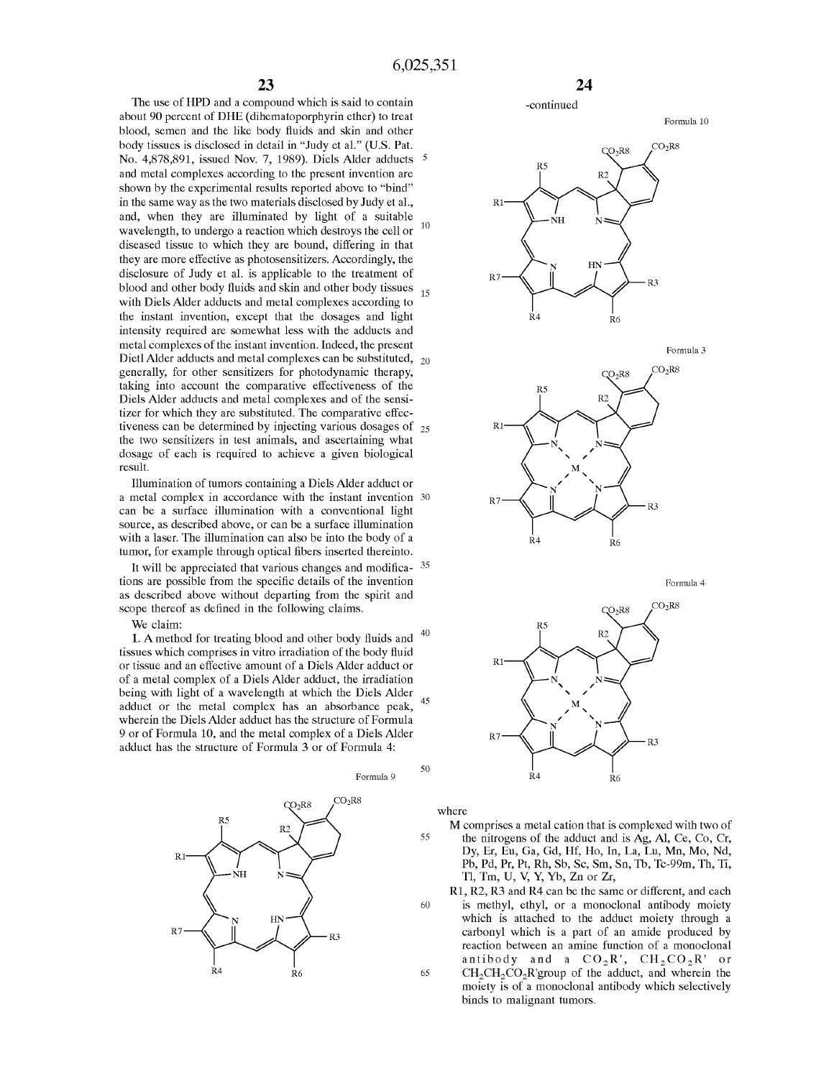The use of HPD and a compound which is said to contain -continued about 90 percent of DHE (dihematoporphyrin ether) to treat Formula 10 blood, semen and the like body fluids and skin and other body tissues is disclosed in detail in "Judy et al." (U.S. Pat. No. 4,878,891, issued Nov. 7, 1989). Diels Alder adducts 5 and metal complexes according to the present invention are shown by the experimental results reported above to "bind" in the same way as the two materials disclosed by Judy et al., and, when they are illuminated by light of a suitable wavelength, to undergo a reaction which destroys the cell or  $10$ diseased tissue to which they are bound, differing in that they are more effective as photosensitizers. Accordingly, the disclosure of Judy et al. is applicable to the treatment of blood and other body fluids and skin and other body tissues with Diels Alder adducts and metal complexes according to the instant invention, except that the dosages and light intensity required are somewhat less with the adducts and metal complexes of the instant invention. Indeed, the present Dietl Alder adducts and metal complexes can be substituted,  $_{20}$ generally, for other sensitizers for photodynamic therapy, taking into account the comparative effectiveness of the Diels Alder adducts and metal complexes and of the sensitizer for which they are substituted. The comparative effectiveness can be determined by injecting various dosages of  $_{25}$ the two sensitizers in test animals, and ascertaining what dosage of each is required to achieve a given biological result. 15

Illumination of tumors containing a Diels Alder adduct or a metal complex in accordance with the instant invention can be a surface illumination with a conventional light source, as described above, or can be a surface illumination with a laser. The illumination can also be into the body of a tumor, for example through optical fibers inserted thereinto.

It will be appreciated that various changes and modifica- 35 tions are possible from the specific details of the invention as described above without departing from the spirit and scope thereof as defined in the following claims.

We claim:

**1. A** method for treating blood and other body fluids and 40 tissues which comprises in vitro irradiation of the body fluid or tissue and an effective amount of a Diels Alder adduct or of a metal complex of a Diels Alder adduct, the irradiation being with light of a wavelength at which the Diels Alder adduct or the metal complex has an absorbance peak, wherein the Diels Alder adduct has the structure of Formula 9 or of Formula 10, and the metal complex of a Diels Alder adduct has the structure of Formula 3 or of Formula 4: 45













Formula 4



where

50

- M comprises a metal cation that is complexed with two of 55 the nitrogens of the adduct and is Ag, Al, Ce, Co, Cr, Dy, Er, Eu, Ga, Gd, Hf, Ho, In, La, Lu, Mn, Mo, Nd, Pb, Pd, Pr, Pt, Rh, Sb, Sc, Sm, Sn, Tb, Tc-99m, Th, Ti, Tl, Tm, U, V, Y, Yb, Zn or Zr,
- Rl, R2, R3 and R4 can be the same or different, and each 60 is methyl, ethyl, or a monoclonal antibody moiety which is attached to the adduct moiety through a carbonyl which is a part of an amide produced by reaction between an amine function of a monoclonal antibody and a  $CO_2R'$ ,  $CH_2CO_2R'$  or 65 CH<sub>2</sub>CH<sub>2</sub>CO<sub>2</sub>R'group of the adduct, and wherein the moiety is of a monoclonal antibody which selectively binds to malignant tumors.